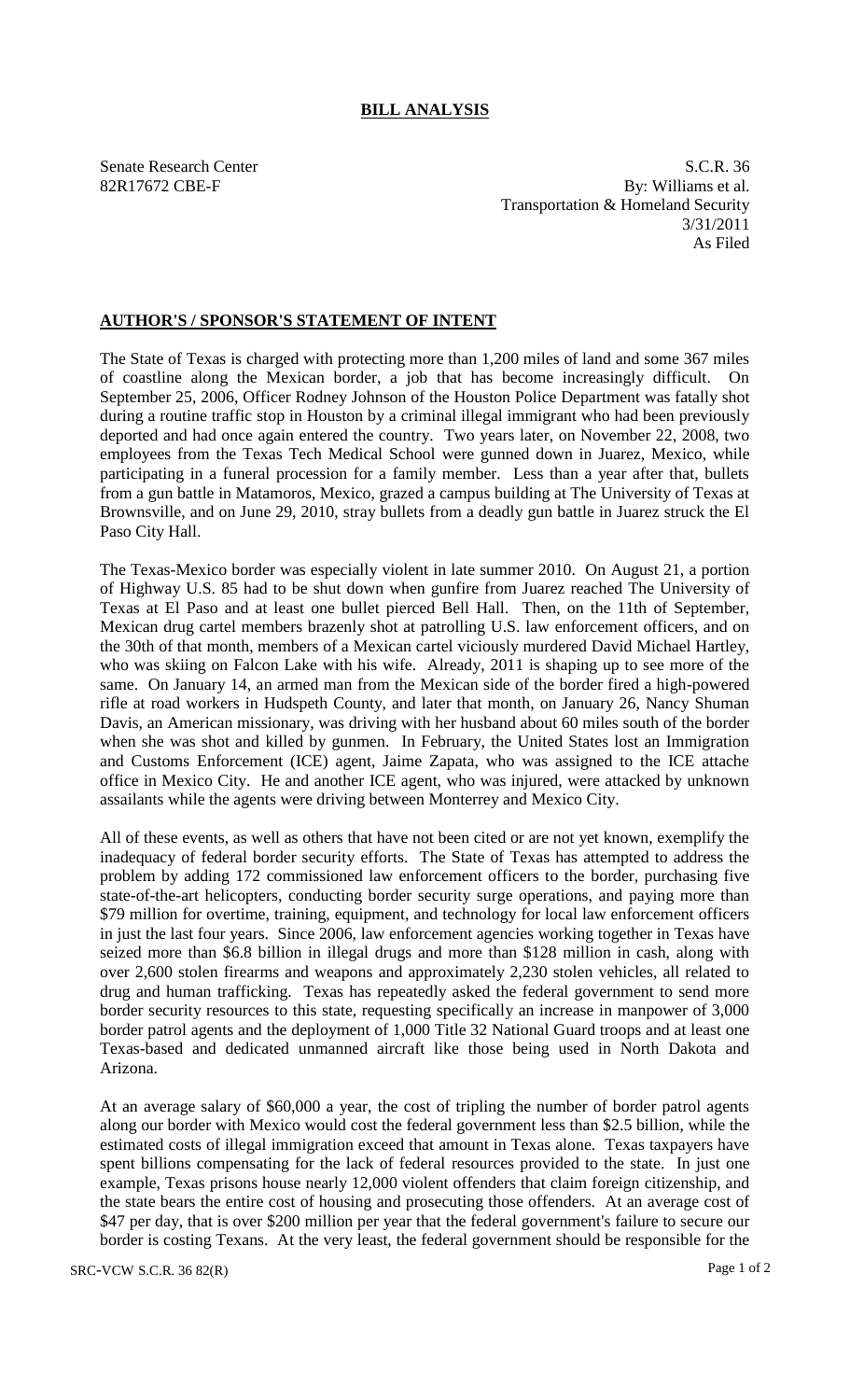## **BILL ANALYSIS**

Senate Research Center S.C.R. 36 82R17672 CBE-F By: Williams et al. Transportation & Homeland Security 3/31/2011 As Filed

## **AUTHOR'S / SPONSOR'S STATEMENT OF INTENT**

The State of Texas is charged with protecting more than 1,200 miles of land and some 367 miles of coastline along the Mexican border, a job that has become increasingly difficult. On September 25, 2006, Officer Rodney Johnson of the Houston Police Department was fatally shot during a routine traffic stop in Houston by a criminal illegal immigrant who had been previously deported and had once again entered the country. Two years later, on November 22, 2008, two employees from the Texas Tech Medical School were gunned down in Juarez, Mexico, while participating in a funeral procession for a family member. Less than a year after that, bullets from a gun battle in Matamoros, Mexico, grazed a campus building at The University of Texas at Brownsville, and on June 29, 2010, stray bullets from a deadly gun battle in Juarez struck the El Paso City Hall.

The Texas-Mexico border was especially violent in late summer 2010. On August 21, a portion of Highway U.S. 85 had to be shut down when gunfire from Juarez reached The University of Texas at El Paso and at least one bullet pierced Bell Hall. Then, on the 11th of September, Mexican drug cartel members brazenly shot at patrolling U.S. law enforcement officers, and on the 30th of that month, members of a Mexican cartel viciously murdered David Michael Hartley, who was skiing on Falcon Lake with his wife. Already, 2011 is shaping up to see more of the same. On January 14, an armed man from the Mexican side of the border fired a high-powered rifle at road workers in Hudspeth County, and later that month, on January 26, Nancy Shuman Davis, an American missionary, was driving with her husband about 60 miles south of the border when she was shot and killed by gunmen. In February, the United States lost an Immigration and Customs Enforcement (ICE) agent, Jaime Zapata, who was assigned to the ICE attache office in Mexico City. He and another ICE agent, who was injured, were attacked by unknown assailants while the agents were driving between Monterrey and Mexico City.

All of these events, as well as others that have not been cited or are not yet known, exemplify the inadequacy of federal border security efforts. The State of Texas has attempted to address the problem by adding 172 commissioned law enforcement officers to the border, purchasing five state-of-the-art helicopters, conducting border security surge operations, and paying more than \$79 million for overtime, training, equipment, and technology for local law enforcement officers in just the last four years. Since 2006, law enforcement agencies working together in Texas have seized more than \$6.8 billion in illegal drugs and more than \$128 million in cash, along with over 2,600 stolen firearms and weapons and approximately 2,230 stolen vehicles, all related to drug and human trafficking. Texas has repeatedly asked the federal government to send more border security resources to this state, requesting specifically an increase in manpower of 3,000 border patrol agents and the deployment of 1,000 Title 32 National Guard troops and at least one Texas-based and dedicated unmanned aircraft like those being used in North Dakota and Arizona.

At an average salary of \$60,000 a year, the cost of tripling the number of border patrol agents along our border with Mexico would cost the federal government less than \$2.5 billion, while the estimated costs of illegal immigration exceed that amount in Texas alone. Texas taxpayers have spent billions compensating for the lack of federal resources provided to the state. In just one example, Texas prisons house nearly 12,000 violent offenders that claim foreign citizenship, and the state bears the entire cost of housing and prosecuting those offenders. At an average cost of \$47 per day, that is over \$200 million per year that the federal government's failure to secure our border is costing Texans. At the very least, the federal government should be responsible for the